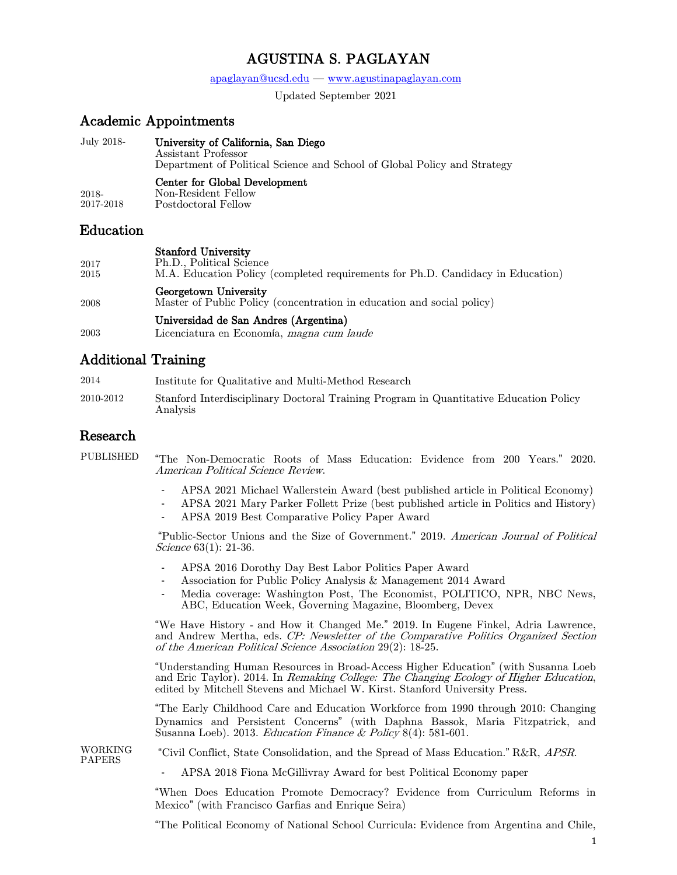# AGUSTINA S. PAGLAYAN

#### $apaglayan@ucsd.edu — www.agustinapaglayan.com$  $apaglayan@ucsd.edu — www.agustinapaglayan.com$  $apaglayan@ucsd.edu — www.agustinapaglayan.com$

Updated September 2021

### Academic Appointments

July 2018- University of California, San Diego Assistant Professor Department of Political Science and School of Global Policy and Strategy 2018- 2017-2018 Center for Global Development Non-Resident Fellow Postdoctoral Fellow

### Education

#### Stanford University

- 2017 Ph.D., Political Science
- 2015 M.A. Education Policy (completed requirements for Ph.D. Candidacy in Education) Georgetown University
- 2008 Master of Public Policy (concentration in education and social policy)

### Universidad de San Andres (Argentina)

2003 Licenciatura en Economía, magna cum laude

## Additional Training

- 2014 Institute for Qualitative and Multi-Method Research
- 2010-2012 Stanford Interdisciplinary Doctoral Training Program in Quantitative Education Policy Analysis

### Research

PUBLISHED "The Non-Democratic Roots of Mass Education: Evidence from 200 Years." 2020. American Political Science Review.

- APSA 2021 Michael Wallerstein Award (best published article in Political Economy)
- APSA 2021 Mary Parker Follett Prize (best published article in Politics and History)
- APSA 2019 Best Comparative Policy Paper Award

"Public-Sector Unions and the Size of Government." 2019. American Journal of Political Science 63(1): 21-36.

- APSA 2016 Dorothy Day Best Labor Politics Paper Award
- Association for Public Policy Analysis & Management 2014 Award
- Media coverage: Washington Post, The Economist, POLITICO, NPR, NBC News, ABC, Education Week, Governing Magazine, Bloomberg, Devex

"We Have History - and How it Changed Me." 2019. In Eugene Finkel, Adria Lawrence, and Andrew Mertha, eds. CP: Newsletter of the Comparative Politics Organized Section of the American Political Science Association 29(2): 18-25.

"Understanding Human Resources in Broad-Access Higher Education" (with Susanna Loeb and Eric Taylor). 2014. In Remaking College: The Changing Ecology of Higher Education, edited by Mitchell Stevens and Michael W. Kirst. Stanford University Press.

"The Early Childhood Care and Education Workforce from 1990 through 2010: Changing Dynamics and Persistent Concerns" (with Daphna Bassok, Maria Fitzpatrick, and Susanna Loeb). 2013. Education Finance & Policy  $8(4)$ : 581-601.

WORKING<br>PAPERS

"Civil Conflict, State Consolidation, and the Spread of Mass Education." R&R, APSR.

- APSA 2018 Fiona McGillivray Award for best Political Economy paper

"When Does Education Promote Democracy? Evidence from Curriculum Reforms in Mexico" (with Francisco Garfias and Enrique Seira)

"The Political Economy of National School Curricula: Evidence from Argentina and Chile,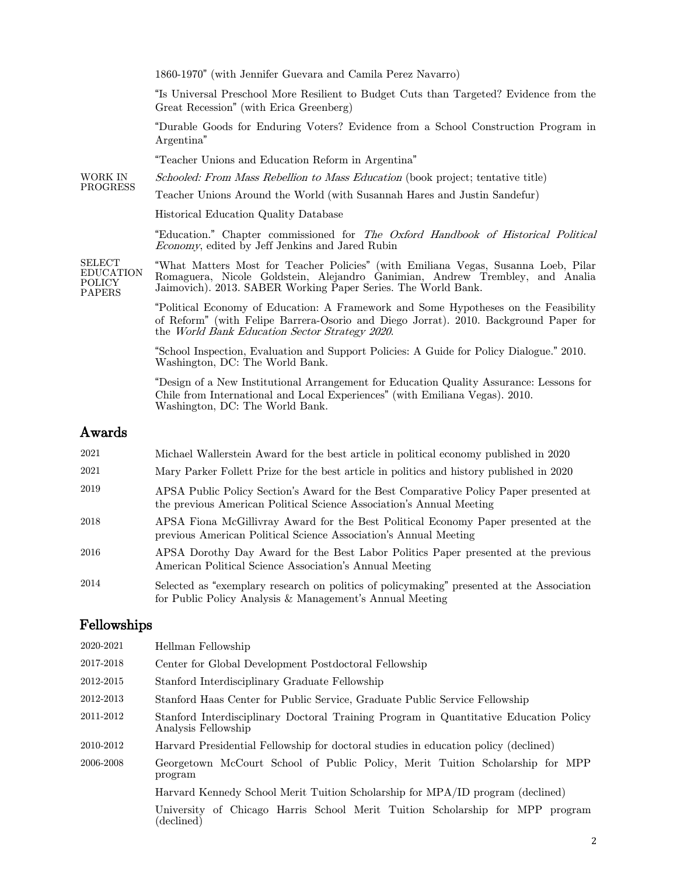1860-1970" (with Jennifer Guevara and Camila Perez Navarro)

"Is Universal Preschool More Resilient to Budget Cuts than Targeted? Evidence from the Great Recession" (with Erica Greenberg)

"Durable Goods for Enduring Voters? Evidence from a School Construction Program in Argentina"

"Teacher Unions and Education Reform in Argentina"

WORK IN PROGRESS Schooled: From Mass Rebellion to Mass Education (book project; tentative title)

Teacher Unions Around the World (with Susannah Hares and Justin Sandefur)

Historical Education Quality Database.

"Education." Chapter commissioned for The Oxford Handbook of Historical Political Economy, edited by Jeff Jenkins and Jared Rubin

SELECT EDUCATION POLICY PAPERS "What Matters Most for Teacher Policies" (with Emiliana Vegas, Susanna Loeb, Pilar Romaguera, Nicole Goldstein, Alejandro Ganimian, Andrew Trembley, and Analia Jaimovich). 2013. SABER Working Paper Series. The World Bank.

> "Political Economy of Education: A Framework and Some Hypotheses on the Feasibility of Reform" (with Felipe Barrera-Osorio and Diego Jorrat). 2010. Background Paper for the World Bank Education Sector Strategy 2020.

"School Inspection, Evaluation and Support Policies: A Guide for Policy Dialogue." 2010. Washington, DC: The World Bank.

"Design of a New Institutional Arrangement for Education Quality Assurance: Lessons for Chile from International and Local Experiences" (with Emiliana Vegas). 2010. Washington, DC: The World Bank.

### Awards

| 2021 | Michael Wallerstein Award for the best article in political economy published in 2020                                                                         |
|------|---------------------------------------------------------------------------------------------------------------------------------------------------------------|
| 2021 | Mary Parker Follett Prize for the best article in politics and history published in 2020                                                                      |
| 2019 | APSA Public Policy Section's Award for the Best Comparative Policy Paper presented at<br>the previous American Political Science Association's Annual Meeting |
| 2018 | APSA Fiona McGillivray Award for the Best Political Economy Paper presented at the<br>previous American Political Science Association's Annual Meeting        |
| 2016 | APSA Dorothy Day Award for the Best Labor Politics Paper presented at the previous<br>American Political Science Association's Annual Meeting                 |
| 2014 | Selected as "exemplary research on politics of policymaking" presented at the Association<br>for Public Policy Analysis & Management's Annual Meeting         |

### Fellowships

| 2020-2021 | Hellman Fellowship                                                                                           |
|-----------|--------------------------------------------------------------------------------------------------------------|
| 2017-2018 | Center for Global Development Postdoctoral Fellowship                                                        |
| 2012-2015 | Stanford Interdisciplinary Graduate Fellowship                                                               |
| 2012-2013 | Stanford Haas Center for Public Service, Graduate Public Service Fellowship                                  |
| 2011-2012 | Stanford Interdisciplinary Doctoral Training Program in Quantitative Education Policy<br>Analysis Fellowship |
| 2010-2012 | Harvard Presidential Fellowship for doctoral studies in education policy (declined)                          |
| 2006-2008 | Georgetown McCourt School of Public Policy, Merit Tuition Scholarship for MPP<br>program                     |
|           | Harvard Kennedy School Merit Tuition Scholarship for MPA/ID program (declined)                               |
|           | University of Chicago Harris School Merit Tuition Scholarship for MPP program<br>$\rm (declined)$            |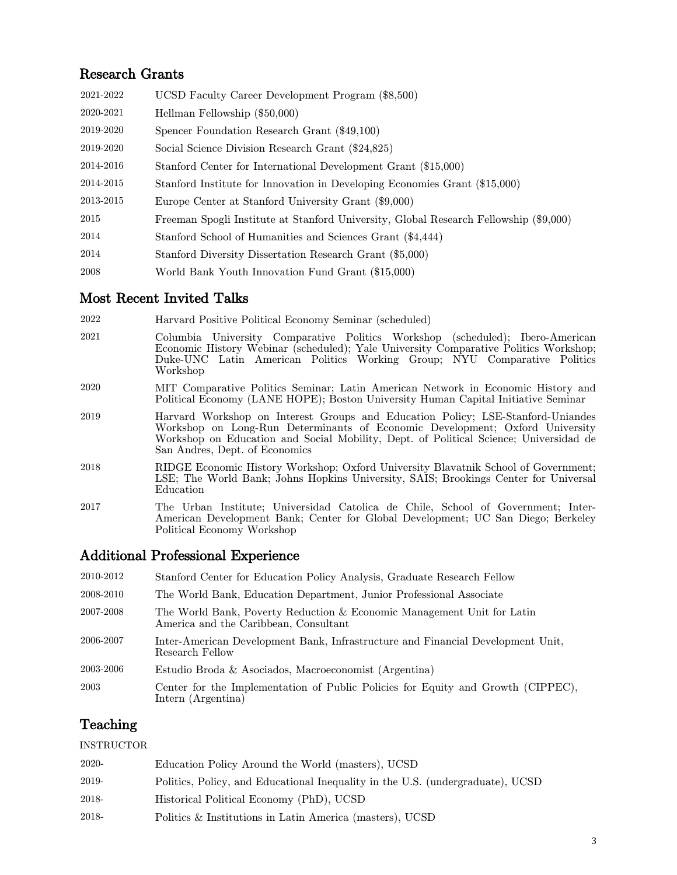## Research Grants

| 2021-2022 | UCSD Faculty Career Development Program (\$8,500)                                     |
|-----------|---------------------------------------------------------------------------------------|
| 2020-2021 | Hellman Fellowship (\$50,000)                                                         |
| 2019-2020 | Spencer Foundation Research Grant (\$49,100)                                          |
| 2019-2020 | Social Science Division Research Grant (\$24,825)                                     |
| 2014-2016 | Stanford Center for International Development Grant (\$15,000)                        |
| 2014-2015 | Stanford Institute for Innovation in Developing Economies Grant (\$15,000)            |
| 2013-2015 | Europe Center at Stanford University Grant (\$9,000)                                  |
| 2015      | Freeman Spogli Institute at Stanford University, Global Research Fellowship (\$9,000) |
| 2014      | Stanford School of Humanities and Sciences Grant (\$4,444)                            |
| 2014      | Stanford Diversity Dissertation Research Grant (\$5,000)                              |
| 2008      | World Bank Youth Innovation Fund Grant (\$15,000)                                     |

## Most Recent Invited Talks

- 2021 Columbia University Comparative Politics Workshop (scheduled); Ibero-American Economic History Webinar (scheduled); Yale University Comparative Politics Workshop; Duke-UNC Latin American Politics Working Group; NYU Comparative Politics Workshop
- 2020 MIT Comparative Politics Seminar; Latin American Network in Economic History and Political Economy (LANE HOPE); Boston University Human Capital Initiative Seminar
- 2019 Harvard Workshop on Interest Groups and Education Policy; LSE-Stanford-Uniandes Workshop on Long-Run Determinants of Economic Development; Oxford University Workshop on Education and Social Mobility, Dept. of Political Science; Universidad de San Andres, Dept. of Economics
- 2018 RIDGE Economic History Workshop; Oxford University Blavatnik School of Government; LSE; The World Bank; Johns Hopkins University, SAIS; Brookings Center for Universal Education
- <sup>2017</sup> The Urban Institute; Universidad Catolica de Chile, School of Government; Inter- American Development Bank; Center for Global Development; UC San Diego; Berkeley Political Economy Workshop

## Additional Professional Experience

| 2010-2012 | Stanford Center for Education Policy Analysis, Graduate Research Fellow                                         |
|-----------|-----------------------------------------------------------------------------------------------------------------|
| 2008-2010 | The World Bank, Education Department, Junior Professional Associate                                             |
| 2007-2008 | The World Bank, Poverty Reduction & Economic Management Unit for Latin<br>America and the Caribbean, Consultant |
| 2006-2007 | Inter-American Development Bank, Infrastructure and Financial Development Unit,<br>Research Fellow              |
| 2003-2006 | Estudio Broda & Asociados, Macroeconomist (Argentina)                                                           |
| 2003      | Center for the Implementation of Public Policies for Equity and Growth (CIPPEC),<br>Intern (Argentina)          |

## Teaching

#### INSTRUCTOR

| 2020- | Education Policy Around the World (masters), UCSD                              |
|-------|--------------------------------------------------------------------------------|
| 2019- | Politics, Policy, and Educational Inequality in the U.S. (undergraduate), UCSD |
| 2018- | Historical Political Economy (PhD), UCSD                                       |
| 2018- | Politics & Institutions in Latin America (masters), UCSD                       |